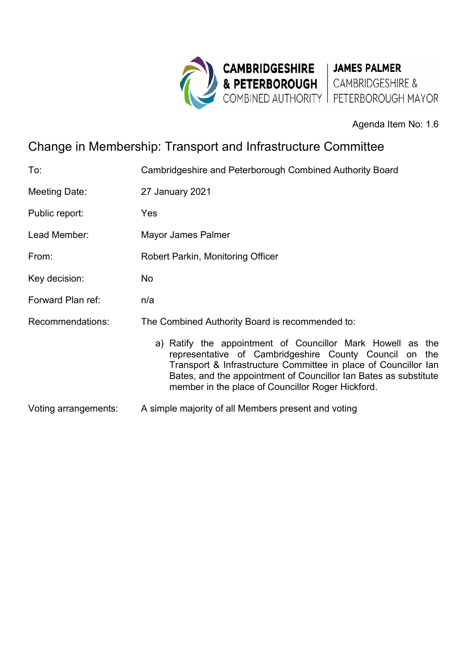

Agenda Item No: 1.6

# Change in Membership: Transport and Infrastructure Committee

| To:                  | Cambridgeshire and Peterborough Combined Authority Board                                                                                                                                                                                                                                                         |
|----------------------|------------------------------------------------------------------------------------------------------------------------------------------------------------------------------------------------------------------------------------------------------------------------------------------------------------------|
| Meeting Date:        | 27 January 2021                                                                                                                                                                                                                                                                                                  |
| Public report:       | Yes                                                                                                                                                                                                                                                                                                              |
| Lead Member:         | Mayor James Palmer                                                                                                                                                                                                                                                                                               |
| From:                | Robert Parkin, Monitoring Officer                                                                                                                                                                                                                                                                                |
| Key decision:        | No.                                                                                                                                                                                                                                                                                                              |
| Forward Plan ref:    | n/a                                                                                                                                                                                                                                                                                                              |
| Recommendations:     | The Combined Authority Board is recommended to:                                                                                                                                                                                                                                                                  |
|                      | a) Ratify the appointment of Councillor Mark Howell as the<br>representative of Cambridgeshire County Council on the<br>Transport & Infrastructure Committee in place of Councillor Ian<br>Bates, and the appointment of Councillor Ian Bates as substitute<br>member in the place of Councillor Roger Hickford. |
| Voting arrangements: | A simple majority of all Members present and voting                                                                                                                                                                                                                                                              |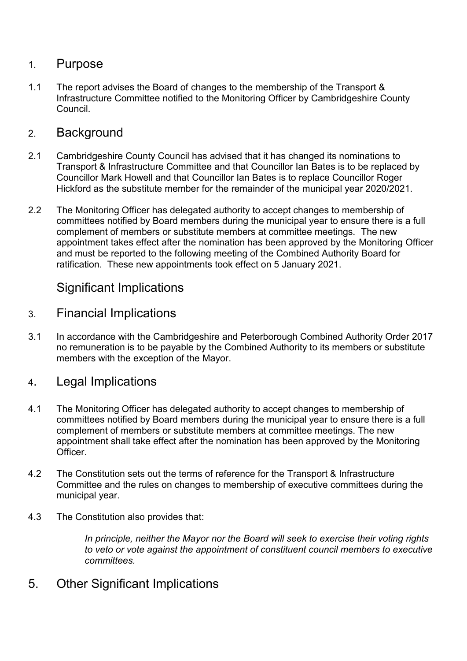### 1. Purpose

1.1 The report advises the Board of changes to the membership of the Transport & Infrastructure Committee notified to the Monitoring Officer by Cambridgeshire County Council.

#### 2. Background

- 2.1 Cambridgeshire County Council has advised that it has changed its nominations to Transport & Infrastructure Committee and that Councillor Ian Bates is to be replaced by Councillor Mark Howell and that Councillor Ian Bates is to replace Councillor Roger Hickford as the substitute member for the remainder of the municipal year 2020/2021.
- 2.2 The Monitoring Officer has delegated authority to accept changes to membership of committees notified by Board members during the municipal year to ensure there is a full complement of members or substitute members at committee meetings. The new appointment takes effect after the nomination has been approved by the Monitoring Officer and must be reported to the following meeting of the Combined Authority Board for ratification. These new appointments took effect on 5 January 2021.

### Significant Implications

- 3. Financial Implications
- 3.1 In accordance with the Cambridgeshire and Peterborough Combined Authority Order 2017 no remuneration is to be payable by the Combined Authority to its members or substitute members with the exception of the Mayor.
- 4. Legal Implications
- 4.1 The Monitoring Officer has delegated authority to accept changes to membership of committees notified by Board members during the municipal year to ensure there is a full complement of members or substitute members at committee meetings. The new appointment shall take effect after the nomination has been approved by the Monitoring **Officer**
- 4.2 The Constitution sets out the terms of reference for the Transport & Infrastructure Committee and the rules on changes to membership of executive committees during the municipal year.
- 4.3 The Constitution also provides that:

*In principle, neither the Mayor nor the Board will seek to exercise their voting rights to veto or vote against the appointment of constituent council members to executive committees.* 

5. Other Significant Implications